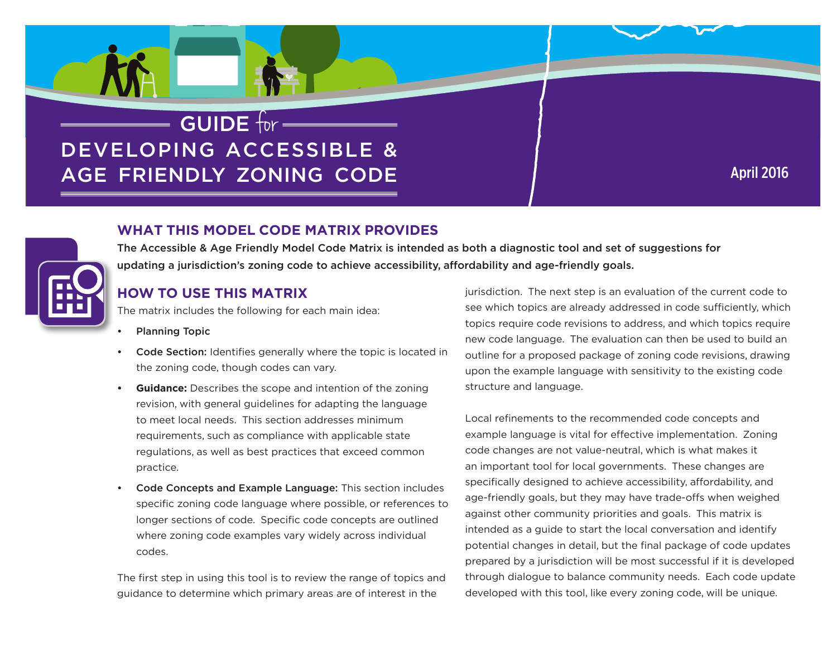# $=$  GUIDE for  $=$ **DEVELOPING ACCESSIBLE &** AGE FRIENDLY ZONING CODE

# **April 2016**

#### **WHAT THIS MODEL CODE MATRIX PROVIDES**

The Accessible & Age Friendly Model Code Matrix is intended as both a diagnostic tool and set of suggestions for updating a jurisdiction's zoning code to achieve accessibility, affordability and age-friendly goals.

### **HOW TO USE THIS MATRIX**

The matrix includes the following for each main idea:

- **Planning Topic**
- Code Section: Identifies generally where the topic is located in the zoning code, though codes can vary.
- **Guidance:** Describes the scope and intention of the zoning  $\bullet$ revision, with general guidelines for adapting the language to meet local needs. This section addresses minimum requirements, such as compliance with applicable state regulations, as well as best practices that exceed common practice.
- Code Concepts and Example Language: This section includes  $\bullet$ specific zoning code language where possible, or references to longer sections of code. Specific code concepts are outlined where zoning code examples vary widely across individual codes.

The first step in using this tool is to review the range of topics and guidance to determine which primary areas are of interest in the

jurisdiction. The next step is an evaluation of the current code to see which topics are already addressed in code sufficiently, which topics require code revisions to address, and which topics require new code language. The evaluation can then be used to build an outline for a proposed package of zoning code revisions, drawing upon the example language with sensitivity to the existing code structure and language.

Local refinements to the recommended code concepts and example language is vital for effective implementation. Zoning code changes are not value-neutral, which is what makes it an important tool for local governments. These changes are specifically designed to achieve accessibility, affordability, and age-friendly goals, but they may have trade-offs when weighed against other community priorities and goals. This matrix is intended as a quide to start the local conversation and identify potential changes in detail, but the final package of code updates prepared by a jurisdiction will be most successful if it is developed through dialogue to balance community needs. Each code update developed with this tool, like every zoning code, will be unique.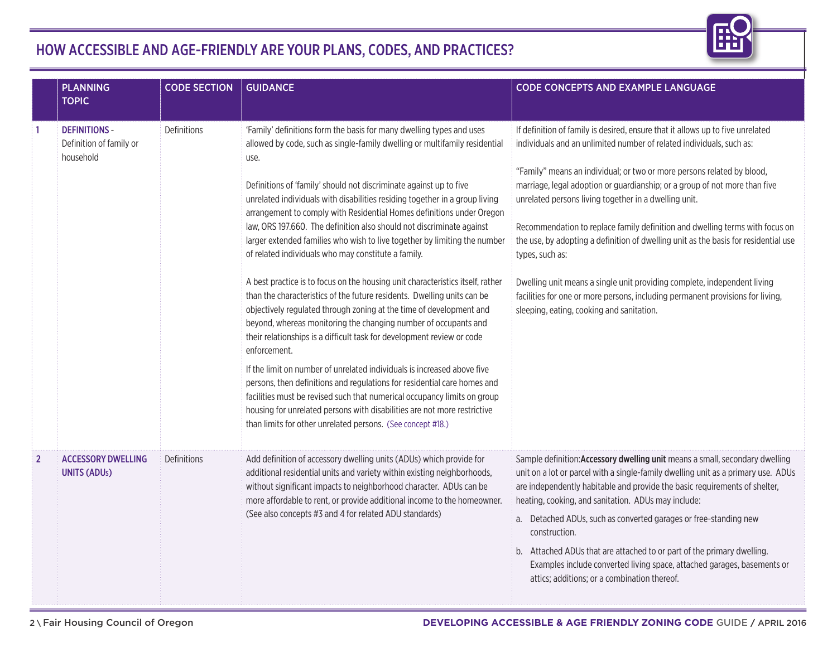

## HOW ACCESSIBLE AND AGE-FRIENDLY ARE YOUR PLANS, CODES, AND PRACTICES?

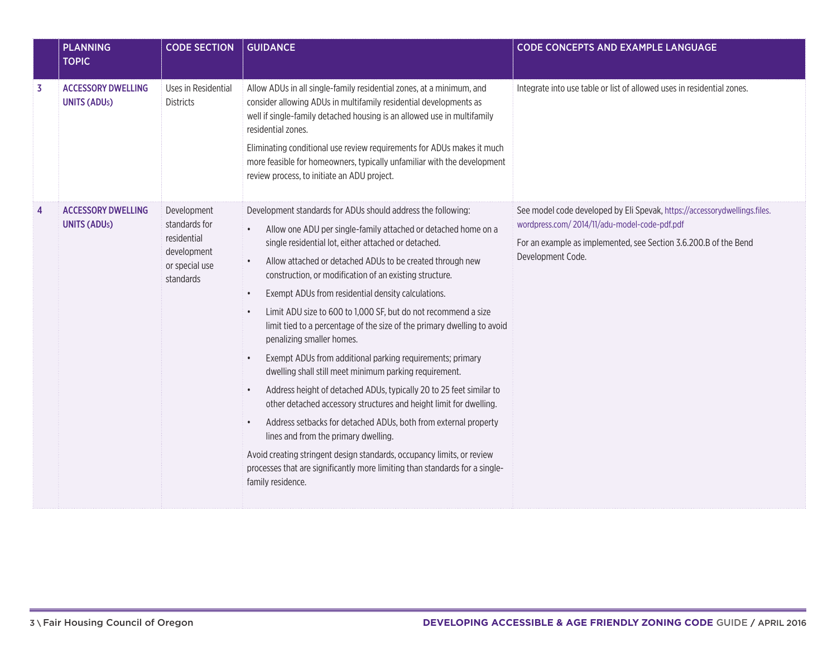|                | <b>PLANNING</b><br><b>TOPIC</b>                  | <b>CODE SECTION</b>                                                                       | <b>GUIDANCE</b>                                                                                                                                                                                                                                                                                                                                                                                                                                                                                                                                                                                                                                                                                                                                                                                                                                                                                                                                                                                                                                                                                                                                                                           | <b>CODE CONCEPTS AND EXAMPLE LANGUAGE</b>                                                                                                                                                                          |
|----------------|--------------------------------------------------|-------------------------------------------------------------------------------------------|-------------------------------------------------------------------------------------------------------------------------------------------------------------------------------------------------------------------------------------------------------------------------------------------------------------------------------------------------------------------------------------------------------------------------------------------------------------------------------------------------------------------------------------------------------------------------------------------------------------------------------------------------------------------------------------------------------------------------------------------------------------------------------------------------------------------------------------------------------------------------------------------------------------------------------------------------------------------------------------------------------------------------------------------------------------------------------------------------------------------------------------------------------------------------------------------|--------------------------------------------------------------------------------------------------------------------------------------------------------------------------------------------------------------------|
| $\overline{3}$ | <b>ACCESSORY DWELLING</b><br><b>UNITS (ADUs)</b> | Uses in Residential<br><b>Districts</b>                                                   | Allow ADUs in all single-family residential zones, at a minimum, and<br>consider allowing ADUs in multifamily residential developments as<br>well if single-family detached housing is an allowed use in multifamily<br>residential zones.<br>Eliminating conditional use review requirements for ADUs makes it much<br>more feasible for homeowners, typically unfamiliar with the development<br>review process, to initiate an ADU project.                                                                                                                                                                                                                                                                                                                                                                                                                                                                                                                                                                                                                                                                                                                                            | Integrate into use table or list of allowed uses in residential zones.                                                                                                                                             |
| $\overline{4}$ | <b>ACCESSORY DWELLING</b><br><b>UNITS (ADUs)</b> | Development<br>standards for<br>residential<br>development<br>or special use<br>standards | Development standards for ADUs should address the following:<br>Allow one ADU per single-family attached or detached home on a<br>single residential lot, either attached or detached.<br>Allow attached or detached ADUs to be created through new<br>$\bullet$<br>construction, or modification of an existing structure.<br>Exempt ADUs from residential density calculations.<br>$\bullet$<br>Limit ADU size to 600 to 1,000 SF, but do not recommend a size<br>$\bullet$<br>limit tied to a percentage of the size of the primary dwelling to avoid<br>penalizing smaller homes.<br>Exempt ADUs from additional parking requirements; primary<br>$\bullet$<br>dwelling shall still meet minimum parking requirement.<br>Address height of detached ADUs, typically 20 to 25 feet similar to<br>$\bullet$<br>other detached accessory structures and height limit for dwelling.<br>Address setbacks for detached ADUs, both from external property<br>$\bullet$<br>lines and from the primary dwelling.<br>Avoid creating stringent design standards, occupancy limits, or review<br>processes that are significantly more limiting than standards for a single-<br>family residence. | See model code developed by Eli Spevak, https://accessorydwellings.files.<br>wordpress.com/2014/11/adu-model-code-pdf.pdf<br>For an example as implemented, see Section 3.6.200.B of the Bend<br>Development Code. |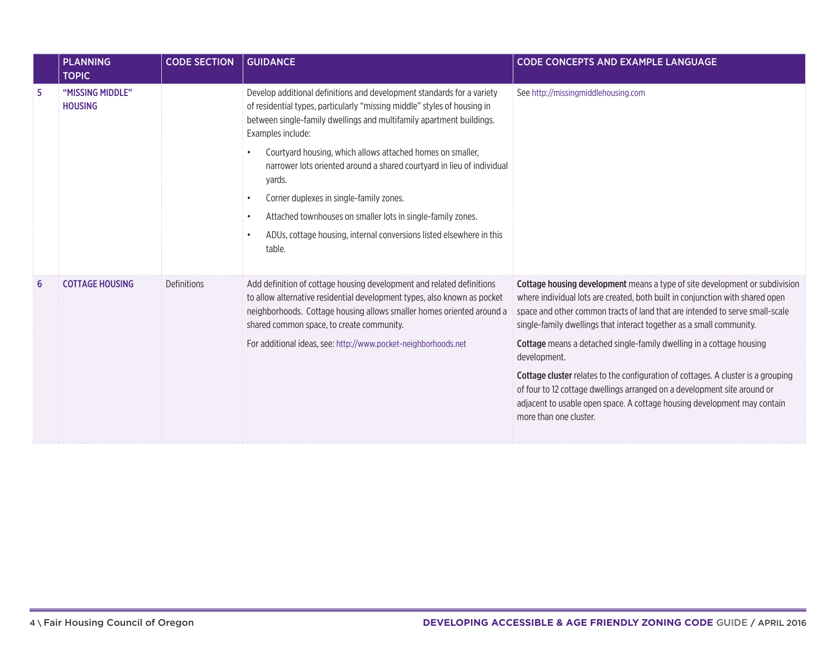|   | <b>PLANNING</b><br><b>TOPIC</b>    | <b>CODE SECTION</b> | <b>GUIDANCE</b>                                                                                                                                                                                                                                                         | <b>CODE CONCEPTS AND EXAMPLE LANGUAGE</b>                                                                                                                                                                                                                                                                            |
|---|------------------------------------|---------------------|-------------------------------------------------------------------------------------------------------------------------------------------------------------------------------------------------------------------------------------------------------------------------|----------------------------------------------------------------------------------------------------------------------------------------------------------------------------------------------------------------------------------------------------------------------------------------------------------------------|
| 5 | "MISSING MIDDLE"<br><b>HOUSING</b> |                     | Develop additional definitions and development standards for a variety<br>of residential types, particularly "missing middle" styles of housing in<br>between single-family dwellings and multifamily apartment buildings.<br>Examples include:                         | See http://missingmiddlehousing.com                                                                                                                                                                                                                                                                                  |
|   |                                    |                     | Courtyard housing, which allows attached homes on smaller,<br>narrower lots oriented around a shared courtyard in lieu of individual<br>yards.                                                                                                                          |                                                                                                                                                                                                                                                                                                                      |
|   |                                    |                     | Corner duplexes in single-family zones.<br>Attached townhouses on smaller lots in single-family zones.                                                                                                                                                                  |                                                                                                                                                                                                                                                                                                                      |
|   |                                    |                     | ADUs, cottage housing, internal conversions listed elsewhere in this<br>table.                                                                                                                                                                                          |                                                                                                                                                                                                                                                                                                                      |
| 6 | <b>COTTAGE HOUSING</b>             | Definitions         | Add definition of cottage housing development and related definitions<br>to allow alternative residential development types, also known as pocket<br>neighborhoods. Cottage housing allows smaller homes oriented around a<br>shared common space, to create community. | Cottage housing development means a type of site development or subdivision<br>where individual lots are created, both built in conjunction with shared open<br>space and other common tracts of land that are intended to serve small-scale<br>single-family dwellings that interact together as a small community. |
|   |                                    |                     | For additional ideas, see: http://www.pocket-neighborhoods.net                                                                                                                                                                                                          | Cottage means a detached single-family dwelling in a cottage housing<br>development.                                                                                                                                                                                                                                 |
|   |                                    |                     |                                                                                                                                                                                                                                                                         | <b>Cottage cluster</b> relates to the configuration of cottages. A cluster is a grouping<br>of four to 12 cottage dwellings arranged on a development site around or<br>adjacent to usable open space. A cottage housing development may contain<br>more than one cluster.                                           |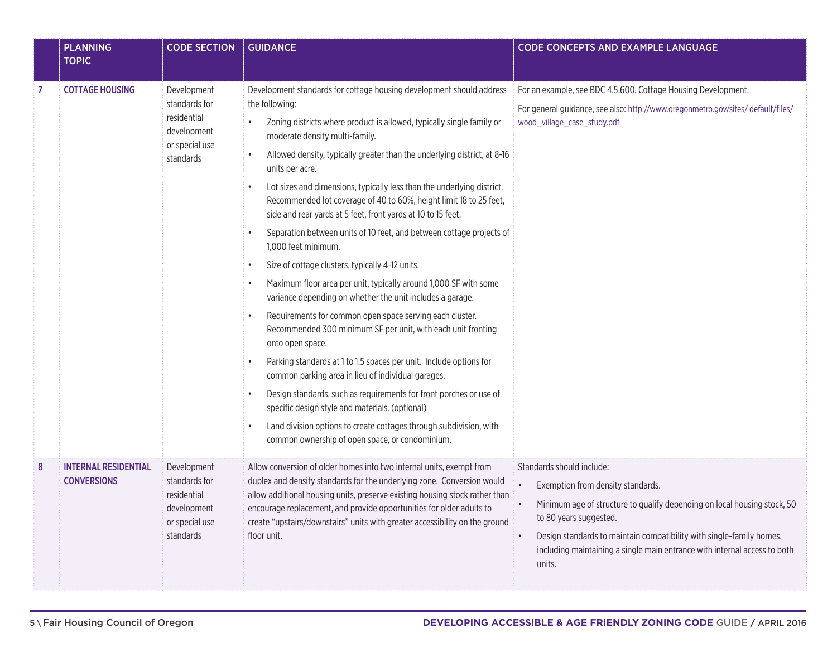|                  | <b>PLANNING</b><br><b>TOPIC</b>                   | <b>CODE SECTION</b>                                                                       | <b>GUIDANCE</b>                                                                                                                                                                                                                                                                                                                                                                                                                                                                                                                                                                                                                                                                                                                                                                                                                                                                                                                                                                                                                                                                                                                                                                                                                                                                                                                                | <b>CODE CONCEPTS AND EXAMPLE LANGUAGE</b>                                                                                                                                                                                                                                                                                                        |
|------------------|---------------------------------------------------|-------------------------------------------------------------------------------------------|------------------------------------------------------------------------------------------------------------------------------------------------------------------------------------------------------------------------------------------------------------------------------------------------------------------------------------------------------------------------------------------------------------------------------------------------------------------------------------------------------------------------------------------------------------------------------------------------------------------------------------------------------------------------------------------------------------------------------------------------------------------------------------------------------------------------------------------------------------------------------------------------------------------------------------------------------------------------------------------------------------------------------------------------------------------------------------------------------------------------------------------------------------------------------------------------------------------------------------------------------------------------------------------------------------------------------------------------|--------------------------------------------------------------------------------------------------------------------------------------------------------------------------------------------------------------------------------------------------------------------------------------------------------------------------------------------------|
| 7                | <b>COTTAGE HOUSING</b>                            | Development<br>standards for<br>residential<br>development<br>or special use<br>standards | Development standards for cottage housing development should address<br>the following:<br>Zoning districts where product is allowed, typically single family or<br>moderate density multi-family.<br>Allowed density, typically greater than the underlying district, at 8-16<br>units per acre.<br>Lot sizes and dimensions, typically less than the underlying district.<br>Recommended lot coverage of 40 to 60%, height limit 18 to 25 feet,<br>side and rear yards at 5 feet, front yards at 10 to 15 feet.<br>Separation between units of 10 feet, and between cottage projects of<br>1,000 feet minimum.<br>Size of cottage clusters, typically 4-12 units.<br>$\bullet$<br>Maximum floor area per unit, typically around 1,000 SF with some<br>variance depending on whether the unit includes a garage.<br>Requirements for common open space serving each cluster.<br>Recommended 300 minimum SF per unit, with each unit fronting<br>onto open space.<br>Parking standards at 1 to 1.5 spaces per unit. Include options for<br>common parking area in lieu of individual garages.<br>Design standards, such as requirements for front porches or use of<br>specific design style and materials. (optional)<br>Land division options to create cottages through subdivision, with<br>common ownership of open space, or condominium. | For an example, see BDC 4.5.600, Cottage Housing Development.<br>For general guidance, see also: http://www.oregonmetro.gov/sites/ default/files/<br>wood_village_case_study.pdf                                                                                                                                                                 |
| $\boldsymbol{8}$ | <b>INTERNAL RESIDENTIAL</b><br><b>CONVERSIONS</b> | Development<br>standards for<br>residential<br>development<br>or special use<br>standards | Allow conversion of older homes into two internal units, exempt from<br>duplex and density standards for the underlying zone. Conversion would<br>allow additional housing units, preserve existing housing stock rather than<br>encourage replacement, and provide opportunities for older adults to<br>create "upstairs/downstairs" units with greater accessibility on the ground<br>floor unit.                                                                                                                                                                                                                                                                                                                                                                                                                                                                                                                                                                                                                                                                                                                                                                                                                                                                                                                                            | Standards should include:<br>$\bullet$<br>Exemption from density standards.<br>Minimum age of structure to qualify depending on local housing stock, 50<br>to 80 years suggested.<br>Design standards to maintain compatibility with single-family homes,<br>including maintaining a single main entrance with internal access to both<br>units. |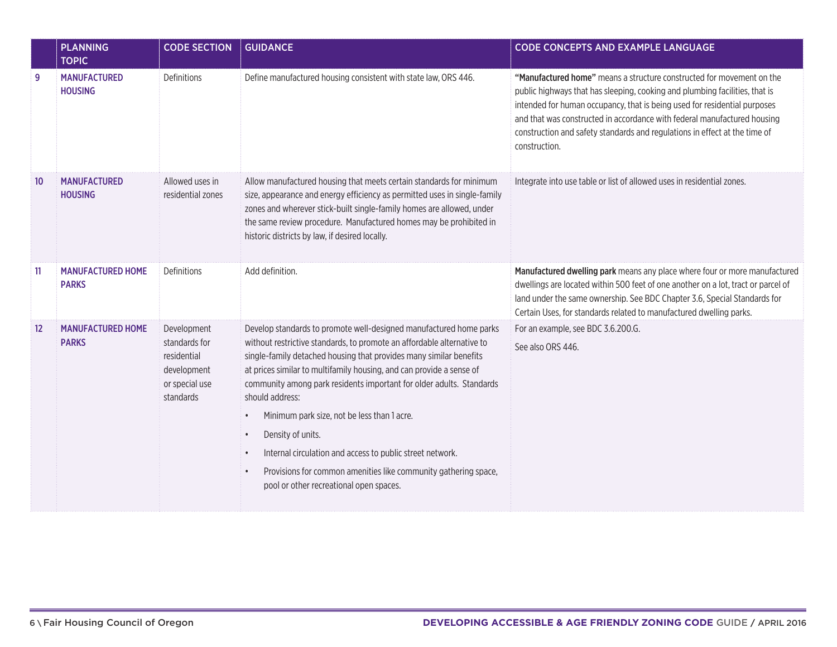|    | <b>PLANNING</b><br><b>TOPIC</b>          | <b>CODE SECTION</b>                                                                       | <b>GUIDANCE</b>                                                                                                                                                                                                                                                                                                                                                                                                                                                                                                                                                                                                                                                                          | <b>CODE CONCEPTS AND EXAMPLE LANGUAGE</b>                                                                                                                                                                                                                                                                                                                                                                    |
|----|------------------------------------------|-------------------------------------------------------------------------------------------|------------------------------------------------------------------------------------------------------------------------------------------------------------------------------------------------------------------------------------------------------------------------------------------------------------------------------------------------------------------------------------------------------------------------------------------------------------------------------------------------------------------------------------------------------------------------------------------------------------------------------------------------------------------------------------------|--------------------------------------------------------------------------------------------------------------------------------------------------------------------------------------------------------------------------------------------------------------------------------------------------------------------------------------------------------------------------------------------------------------|
| 9  | <b>MANUFACTURED</b><br><b>HOUSING</b>    | Definitions                                                                               | Define manufactured housing consistent with state law, ORS 446.                                                                                                                                                                                                                                                                                                                                                                                                                                                                                                                                                                                                                          | "Manufactured home" means a structure constructed for movement on the<br>public highways that has sleeping, cooking and plumbing facilities, that is<br>intended for human occupancy, that is being used for residential purposes<br>and that was constructed in accordance with federal manufactured housing<br>construction and safety standards and regulations in effect at the time of<br>construction. |
| 10 | <b>MANUFACTURED</b><br><b>HOUSING</b>    | Allowed uses in<br>residential zones                                                      | Allow manufactured housing that meets certain standards for minimum<br>size, appearance and energy efficiency as permitted uses in single-family<br>zones and wherever stick-built single-family homes are allowed, under<br>the same review procedure. Manufactured homes may be prohibited in<br>historic districts by law, if desired locally.                                                                                                                                                                                                                                                                                                                                        | Integrate into use table or list of allowed uses in residential zones.                                                                                                                                                                                                                                                                                                                                       |
| 11 | <b>MANUFACTURED HOME</b><br><b>PARKS</b> | Definitions                                                                               | Add definition.                                                                                                                                                                                                                                                                                                                                                                                                                                                                                                                                                                                                                                                                          | Manufactured dwelling park means any place where four or more manufactured<br>dwellings are located within 500 feet of one another on a lot, tract or parcel of<br>land under the same ownership. See BDC Chapter 3.6, Special Standards for<br>Certain Uses, for standards related to manufactured dwelling parks.                                                                                          |
| 12 | <b>MANUFACTURED HOME</b><br><b>PARKS</b> | Development<br>standards for<br>residential<br>development<br>or special use<br>standards | Develop standards to promote well-designed manufactured home parks<br>without restrictive standards, to promote an affordable alternative to<br>single-family detached housing that provides many similar benefits<br>at prices similar to multifamily housing, and can provide a sense of<br>community among park residents important for older adults. Standards<br>should address:<br>Minimum park size, not be less than 1 acre.<br>$\bullet$<br>Density of units.<br>$\bullet$<br>Internal circulation and access to public street network.<br>$\bullet$<br>Provisions for common amenities like community gathering space,<br>$\bullet$<br>pool or other recreational open spaces. | For an example, see BDC 3.6.200.G.<br>See also ORS 446.                                                                                                                                                                                                                                                                                                                                                      |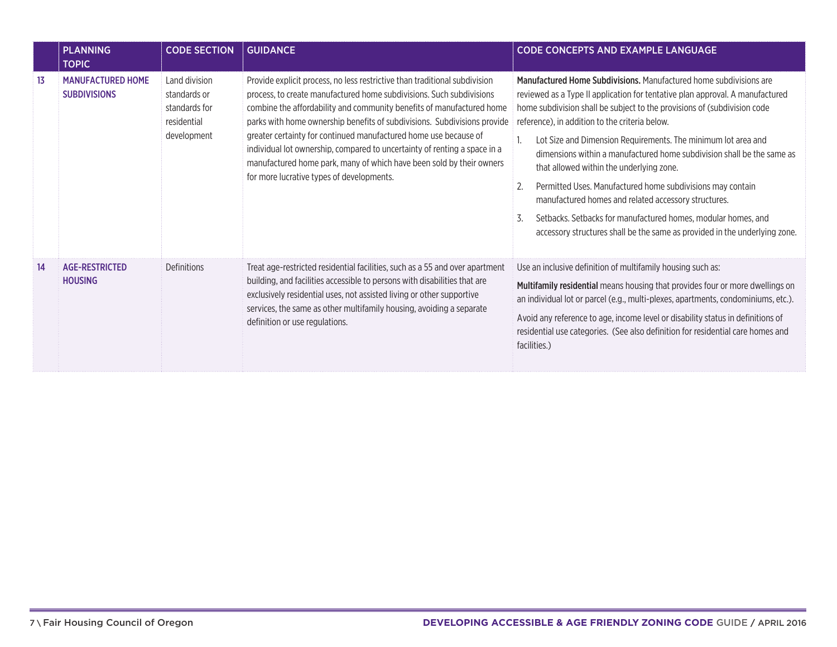|    | <b>PLANNING</b><br><b>TOPIC</b>                 | <b>CODE SECTION</b>                                                          | <b>GUIDANCE</b>                                                                                                                                                                                                                                                                                                                                                                                                                                                                                                                                                               | <b>CODE CONCEPTS AND EXAMPLE LANGUAGE</b>                                                                                                                                                                                                                                                                                                                                                                                                                                                                                                                                                                                                                                                                                                           |
|----|-------------------------------------------------|------------------------------------------------------------------------------|-------------------------------------------------------------------------------------------------------------------------------------------------------------------------------------------------------------------------------------------------------------------------------------------------------------------------------------------------------------------------------------------------------------------------------------------------------------------------------------------------------------------------------------------------------------------------------|-----------------------------------------------------------------------------------------------------------------------------------------------------------------------------------------------------------------------------------------------------------------------------------------------------------------------------------------------------------------------------------------------------------------------------------------------------------------------------------------------------------------------------------------------------------------------------------------------------------------------------------------------------------------------------------------------------------------------------------------------------|
| 13 | <b>MANUFACTURED HOME</b><br><b>SUBDIVISIONS</b> | Land division<br>standards or<br>standards for<br>residential<br>development | Provide explicit process, no less restrictive than traditional subdivision<br>process, to create manufactured home subdivisions. Such subdivisions<br>combine the affordability and community benefits of manufactured home<br>parks with home ownership benefits of subdivisions. Subdivisions provide<br>greater certainty for continued manufactured home use because of<br>individual lot ownership, compared to uncertainty of renting a space in a<br>manufactured home park, many of which have been sold by their owners<br>for more lucrative types of developments. | Manufactured Home Subdivisions. Manufactured home subdivisions are<br>reviewed as a Type II application for tentative plan approval. A manufactured<br>home subdivision shall be subject to the provisions of (subdivision code<br>reference), in addition to the criteria below.<br>Lot Size and Dimension Requirements. The minimum lot area and<br>dimensions within a manufactured home subdivision shall be the same as<br>that allowed within the underlying zone.<br>Permitted Uses. Manufactured home subdivisions may contain<br>manufactured homes and related accessory structures.<br>3.<br>Setbacks. Setbacks for manufactured homes, modular homes, and<br>accessory structures shall be the same as provided in the underlying zone. |
| 14 | <b>AGE-RESTRICTED</b><br><b>HOUSING</b>         | Definitions                                                                  | Treat age-restricted residential facilities, such as a 55 and over apartment<br>building, and facilities accessible to persons with disabilities that are<br>exclusively residential uses, not assisted living or other supportive<br>services, the same as other multifamily housing, avoiding a separate<br>definition or use regulations.                                                                                                                                                                                                                                  | Use an inclusive definition of multifamily housing such as:<br>Multifamily residential means housing that provides four or more dwellings on<br>an individual lot or parcel (e.g., multi-plexes, apartments, condominiums, etc.).<br>Avoid any reference to age, income level or disability status in definitions of<br>residential use categories. (See also definition for residential care homes and<br>facilities.)                                                                                                                                                                                                                                                                                                                             |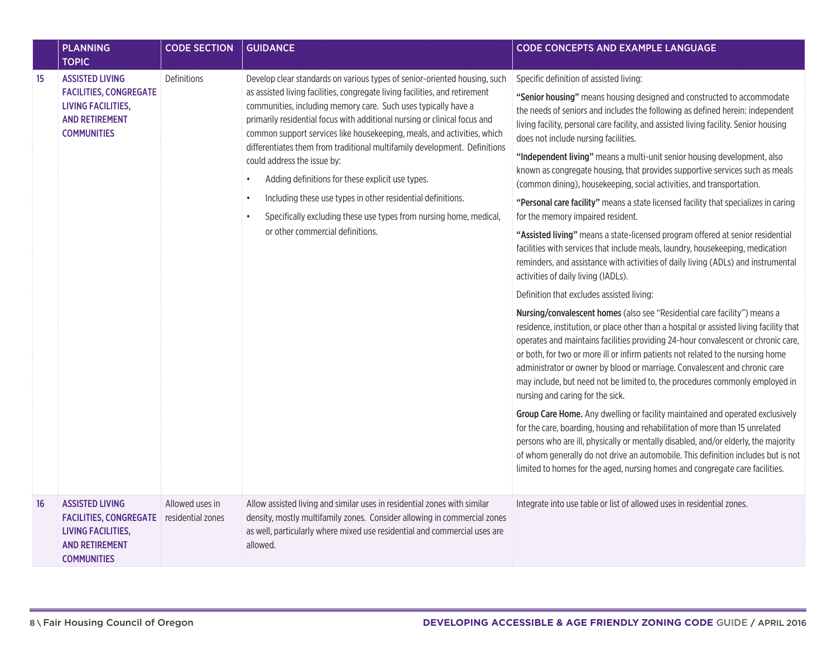|    | <b>PLANNING</b><br><b>TOPIC</b>                                                                                                     | <b>CODE SECTION</b>                  | <b>GUIDANCE</b>                                                                                                                                                                                                                                                                                                                                                                                                                                                                                                                                                                                                                                                                                                             | <b>CODE CONCEPTS AND EXAMPLE LANGUAGE</b>                                                                                                                                                                                                                                                                                                                                                                                                                                                                                                                                                                                                                                                                                                                                                                                                                                                                                                                                                                                                                                                                                                                                                                                                                                                                                                                                                                                                                                                                                                                                                                                                                                                                                                                                                                                                                                                                                                                                                                                        |
|----|-------------------------------------------------------------------------------------------------------------------------------------|--------------------------------------|-----------------------------------------------------------------------------------------------------------------------------------------------------------------------------------------------------------------------------------------------------------------------------------------------------------------------------------------------------------------------------------------------------------------------------------------------------------------------------------------------------------------------------------------------------------------------------------------------------------------------------------------------------------------------------------------------------------------------------|----------------------------------------------------------------------------------------------------------------------------------------------------------------------------------------------------------------------------------------------------------------------------------------------------------------------------------------------------------------------------------------------------------------------------------------------------------------------------------------------------------------------------------------------------------------------------------------------------------------------------------------------------------------------------------------------------------------------------------------------------------------------------------------------------------------------------------------------------------------------------------------------------------------------------------------------------------------------------------------------------------------------------------------------------------------------------------------------------------------------------------------------------------------------------------------------------------------------------------------------------------------------------------------------------------------------------------------------------------------------------------------------------------------------------------------------------------------------------------------------------------------------------------------------------------------------------------------------------------------------------------------------------------------------------------------------------------------------------------------------------------------------------------------------------------------------------------------------------------------------------------------------------------------------------------------------------------------------------------------------------------------------------------|
| 15 | <b>ASSISTED LIVING</b><br><b>FACILITIES, CONGREGATE</b><br><b>LIVING FACILITIES,</b><br><b>AND RETIREMENT</b><br><b>COMMUNITIES</b> | Definitions                          | Develop clear standards on various types of senior-oriented housing, such<br>as assisted living facilities, congregate living facilities, and retirement<br>communities, including memory care. Such uses typically have a<br>primarily residential focus with additional nursing or clinical focus and<br>common support services like housekeeping, meals, and activities, which<br>differentiates them from traditional multifamily development. Definitions<br>could address the issue by:<br>Adding definitions for these explicit use types.<br>Including these use types in other residential definitions.<br>Specifically excluding these use types from nursing home, medical,<br>or other commercial definitions. | Specific definition of assisted living:<br>"Senior housing" means housing designed and constructed to accommodate<br>the needs of seniors and includes the following as defined herein: independent<br>living facility, personal care facility, and assisted living facility. Senior housing<br>does not include nursing facilities.<br>"Independent living" means a multi-unit senior housing development, also<br>known as congregate housing, that provides supportive services such as meals<br>(common dining), housekeeping, social activities, and transportation.<br>"Personal care facility" means a state licensed facility that specializes in caring<br>for the memory impaired resident.<br>"Assisted living" means a state-licensed program offered at senior residential<br>facilities with services that include meals, laundry, housekeeping, medication<br>reminders, and assistance with activities of daily living (ADLs) and instrumental<br>activities of daily living (IADLs).<br>Definition that excludes assisted living:<br>Nursing/convalescent homes (also see "Residential care facility") means a<br>residence, institution, or place other than a hospital or assisted living facility that<br>operates and maintains facilities providing 24-hour convalescent or chronic care,<br>or both, for two or more ill or infirm patients not related to the nursing home<br>administrator or owner by blood or marriage. Convalescent and chronic care<br>may include, but need not be limited to, the procedures commonly employed in<br>nursing and caring for the sick.<br>Group Care Home. Any dwelling or facility maintained and operated exclusively<br>for the care, boarding, housing and rehabilitation of more than 15 unrelated<br>persons who are ill, physically or mentally disabled, and/or elderly, the majority<br>of whom generally do not drive an automobile. This definition includes but is not<br>limited to homes for the aged, nursing homes and congregate care facilities. |
| 16 | <b>ASSISTED LIVING</b><br><b>FACILITIES, CONGREGATE</b><br><b>LIVING FACILITIES,</b><br><b>AND RETIREMENT</b><br><b>COMMUNITIES</b> | Allowed uses in<br>residential zones | Allow assisted living and similar uses in residential zones with similar<br>density, mostly multifamily zones. Consider allowing in commercial zones<br>as well, particularly where mixed use residential and commercial uses are<br>allowed.                                                                                                                                                                                                                                                                                                                                                                                                                                                                               | Integrate into use table or list of allowed uses in residential zones.                                                                                                                                                                                                                                                                                                                                                                                                                                                                                                                                                                                                                                                                                                                                                                                                                                                                                                                                                                                                                                                                                                                                                                                                                                                                                                                                                                                                                                                                                                                                                                                                                                                                                                                                                                                                                                                                                                                                                           |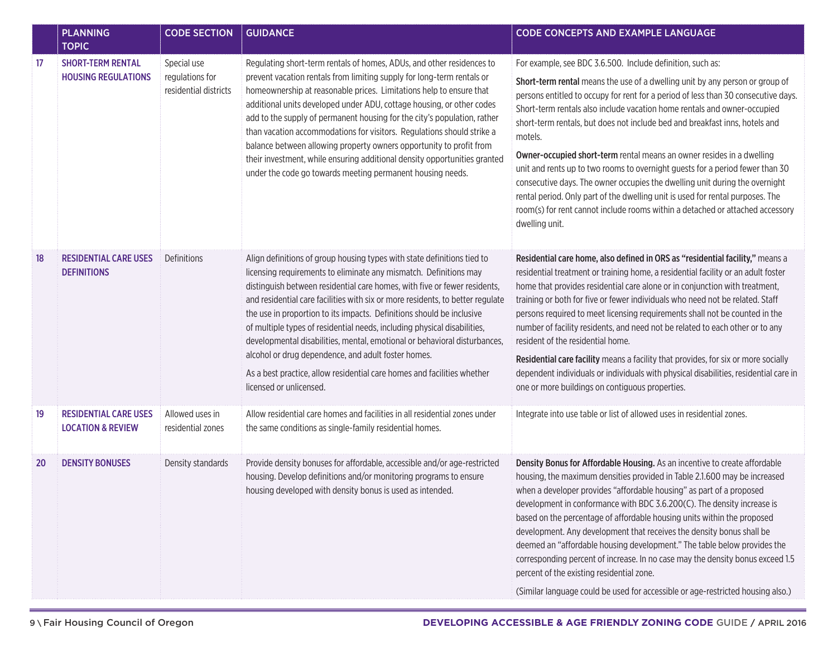|           | <b>PLANNING</b><br><b>TOPIC</b>                              | <b>CODE SECTION</b>                                     | <b>GUIDANCE</b>                                                                                                                                                                                                                                                                                                                                                                                                                                                                                                                                                                                                                                                                                            | <b>CODE CONCEPTS AND EXAMPLE LANGUAGE</b>                                                                                                                                                                                                                                                                                                                                                                                                                                                                                                                                                                                                                                                                                                                                                                                            |
|-----------|--------------------------------------------------------------|---------------------------------------------------------|------------------------------------------------------------------------------------------------------------------------------------------------------------------------------------------------------------------------------------------------------------------------------------------------------------------------------------------------------------------------------------------------------------------------------------------------------------------------------------------------------------------------------------------------------------------------------------------------------------------------------------------------------------------------------------------------------------|--------------------------------------------------------------------------------------------------------------------------------------------------------------------------------------------------------------------------------------------------------------------------------------------------------------------------------------------------------------------------------------------------------------------------------------------------------------------------------------------------------------------------------------------------------------------------------------------------------------------------------------------------------------------------------------------------------------------------------------------------------------------------------------------------------------------------------------|
| 17        | <b>SHORT-TERM RENTAL</b><br><b>HOUSING REGULATIONS</b>       | Special use<br>regulations for<br>residential districts | Regulating short-term rentals of homes, ADUs, and other residences to<br>prevent vacation rentals from limiting supply for long-term rentals or<br>homeownership at reasonable prices. Limitations help to ensure that<br>additional units developed under ADU, cottage housing, or other codes<br>add to the supply of permanent housing for the city's population, rather<br>than vacation accommodations for visitors. Regulations should strike a<br>balance between allowing property owners opportunity to profit from<br>their investment, while ensuring additional density opportunities granted<br>under the code go towards meeting permanent housing needs.                                    | For example, see BDC 3.6.500. Include definition, such as:<br>Short-term rental means the use of a dwelling unit by any person or group of<br>persons entitled to occupy for rent for a period of less than 30 consecutive days.<br>Short-term rentals also include vacation home rentals and owner-occupied<br>short-term rentals, but does not include bed and breakfast inns, hotels and<br>motels.<br>Owner-occupied short-term rental means an owner resides in a dwelling<br>unit and rents up to two rooms to overnight guests for a period fewer than 30<br>consecutive days. The owner occupies the dwelling unit during the overnight<br>rental period. Only part of the dwelling unit is used for rental purposes. The<br>room(s) for rent cannot include rooms within a detached or attached accessory<br>dwelling unit. |
| 18        | <b>RESIDENTIAL CARE USES</b><br><b>DEFINITIONS</b>           | Definitions                                             | Align definitions of group housing types with state definitions tied to<br>licensing requirements to eliminate any mismatch. Definitions may<br>distinguish between residential care homes, with five or fewer residents,<br>and residential care facilities with six or more residents, to better regulate<br>the use in proportion to its impacts. Definitions should be inclusive<br>of multiple types of residential needs, including physical disabilities,<br>developmental disabilities, mental, emotional or behavioral disturbances,<br>alcohol or drug dependence, and adult foster homes.<br>As a best practice, allow residential care homes and facilities whether<br>licensed or unlicensed. | Residential care home, also defined in ORS as "residential facility," means a<br>residential treatment or training home, a residential facility or an adult foster<br>home that provides residential care alone or in conjunction with treatment,<br>training or both for five or fewer individuals who need not be related. Staff<br>persons required to meet licensing requirements shall not be counted in the<br>number of facility residents, and need not be related to each other or to any<br>resident of the residential home.<br>Residential care facility means a facility that provides, for six or more socially<br>dependent individuals or individuals with physical disabilities, residential care in<br>one or more buildings on contiguous properties.                                                             |
| 19        | <b>RESIDENTIAL CARE USES</b><br><b>LOCATION &amp; REVIEW</b> | Allowed uses in<br>residential zones                    | Allow residential care homes and facilities in all residential zones under<br>the same conditions as single-family residential homes.                                                                                                                                                                                                                                                                                                                                                                                                                                                                                                                                                                      | Integrate into use table or list of allowed uses in residential zones.                                                                                                                                                                                                                                                                                                                                                                                                                                                                                                                                                                                                                                                                                                                                                               |
| <b>20</b> | <b>DENSITY BONUSES</b>                                       | Density standards                                       | Provide density bonuses for affordable, accessible and/or age-restricted<br>housing. Develop definitions and/or monitoring programs to ensure<br>housing developed with density bonus is used as intended.                                                                                                                                                                                                                                                                                                                                                                                                                                                                                                 | Density Bonus for Affordable Housing. As an incentive to create affordable<br>housing, the maximum densities provided in Table 2.1.600 may be increased<br>when a developer provides "affordable housing" as part of a proposed<br>development in conformance with BDC 3.6.200(C). The density increase is<br>based on the percentage of affordable housing units within the proposed<br>development. Any development that receives the density bonus shall be<br>deemed an "affordable housing development." The table below provides the<br>corresponding percent of increase. In no case may the density bonus exceed 1.5<br>percent of the existing residential zone.<br>(Similar language could be used for accessible or age-restricted housing also.)                                                                         |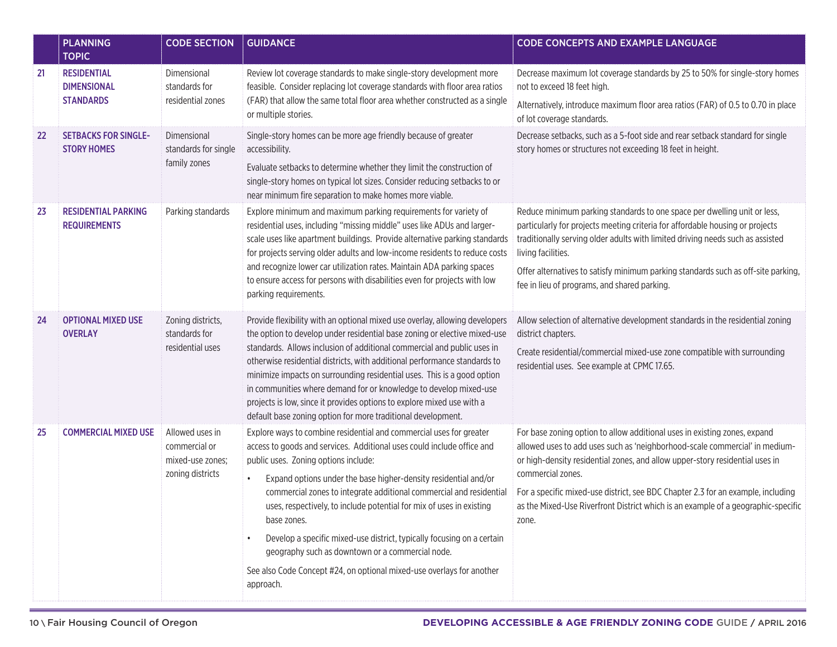|    | <b>PLANNING</b><br><b>TOPIC</b>                   | <b>CODE SECTION</b>                                                      | <b>GUIDANCE</b>                                                                                                                                                                                                                                                                                                                                                                                                                                                                                                                                                                                            | <b>CODE CONCEPTS AND EXAMPLE LANGUAGE</b>                                                                                                                                                                                                                         |
|----|---------------------------------------------------|--------------------------------------------------------------------------|------------------------------------------------------------------------------------------------------------------------------------------------------------------------------------------------------------------------------------------------------------------------------------------------------------------------------------------------------------------------------------------------------------------------------------------------------------------------------------------------------------------------------------------------------------------------------------------------------------|-------------------------------------------------------------------------------------------------------------------------------------------------------------------------------------------------------------------------------------------------------------------|
| 21 | <b>RESIDENTIAL</b><br><b>DIMENSIONAL</b>          | Dimensional<br>standards for                                             | Review lot coverage standards to make single-story development more<br>feasible. Consider replacing lot coverage standards with floor area ratios                                                                                                                                                                                                                                                                                                                                                                                                                                                          | Decrease maximum lot coverage standards by 25 to 50% for single-story homes<br>not to exceed 18 feet high.                                                                                                                                                        |
|    | <b>STANDARDS</b>                                  | residential zones                                                        | (FAR) that allow the same total floor area whether constructed as a single<br>or multiple stories.                                                                                                                                                                                                                                                                                                                                                                                                                                                                                                         | Alternatively, introduce maximum floor area ratios (FAR) of 0.5 to 0.70 in place<br>of lot coverage standards.                                                                                                                                                    |
| 22 | <b>SETBACKS FOR SINGLE-</b><br><b>STORY HOMES</b> | Dimensional<br>standards for single                                      | Single-story homes can be more age friendly because of greater<br>accessibility.                                                                                                                                                                                                                                                                                                                                                                                                                                                                                                                           | Decrease setbacks, such as a 5-foot side and rear setback standard for single<br>story homes or structures not exceeding 18 feet in height.                                                                                                                       |
|    |                                                   | family zones                                                             | Evaluate setbacks to determine whether they limit the construction of<br>single-story homes on typical lot sizes. Consider reducing setbacks to or<br>near minimum fire separation to make homes more viable.                                                                                                                                                                                                                                                                                                                                                                                              |                                                                                                                                                                                                                                                                   |
| 23 | <b>RESIDENTIAL PARKING</b><br><b>REQUIREMENTS</b> | Parking standards                                                        | Explore minimum and maximum parking requirements for variety of<br>residential uses, including "missing middle" uses like ADUs and larger-<br>scale uses like apartment buildings. Provide alternative parking standards<br>for projects serving older adults and low-income residents to reduce costs<br>and recognize lower car utilization rates. Maintain ADA parking spaces<br>to ensure access for persons with disabilities even for projects with low<br>parking requirements.                                                                                                                     | Reduce minimum parking standards to one space per dwelling unit or less,<br>particularly for projects meeting criteria for affordable housing or projects<br>traditionally serving older adults with limited driving needs such as assisted<br>living facilities. |
|    |                                                   |                                                                          |                                                                                                                                                                                                                                                                                                                                                                                                                                                                                                                                                                                                            | Offer alternatives to satisfy minimum parking standards such as off-site parking,<br>fee in lieu of programs, and shared parking.                                                                                                                                 |
| 24 | <b>OPTIONAL MIXED USE</b><br><b>OVERLAY</b>       | Zoning districts,<br>standards for<br>residential uses                   | Provide flexibility with an optional mixed use overlay, allowing developers<br>the option to develop under residential base zoning or elective mixed-use<br>standards. Allows inclusion of additional commercial and public uses in<br>otherwise residential districts, with additional performance standards to<br>minimize impacts on surrounding residential uses. This is a good option<br>in communities where demand for or knowledge to develop mixed-use<br>projects is low, since it provides options to explore mixed use with a<br>default base zoning option for more traditional development. | Allow selection of alternative development standards in the residential zoning<br>district chapters.                                                                                                                                                              |
|    |                                                   |                                                                          |                                                                                                                                                                                                                                                                                                                                                                                                                                                                                                                                                                                                            | Create residential/commercial mixed-use zone compatible with surrounding<br>residential uses. See example at CPMC 17.65.                                                                                                                                          |
| 25 | <b>COMMERCIAL MIXED USE</b>                       | Allowed uses in<br>commercial or<br>mixed-use zones;<br>zoning districts | Explore ways to combine residential and commercial uses for greater<br>access to goods and services. Additional uses could include office and<br>public uses. Zoning options include:                                                                                                                                                                                                                                                                                                                                                                                                                      | For base zoning option to allow additional uses in existing zones, expand<br>allowed uses to add uses such as 'neighborhood-scale commercial' in medium-<br>or high-density residential zones, and allow upper-story residential uses in                          |
|    |                                                   |                                                                          | Expand options under the base higher-density residential and/or<br>commercial zones to integrate additional commercial and residential<br>uses, respectively, to include potential for mix of uses in existing<br>base zones.                                                                                                                                                                                                                                                                                                                                                                              | commercial zones.<br>For a specific mixed-use district, see BDC Chapter 2.3 for an example, including<br>as the Mixed-Use Riverfront District which is an example of a geographic-specific<br>zone.                                                               |
|    |                                                   |                                                                          | Develop a specific mixed-use district, typically focusing on a certain<br>geography such as downtown or a commercial node.                                                                                                                                                                                                                                                                                                                                                                                                                                                                                 |                                                                                                                                                                                                                                                                   |
|    |                                                   |                                                                          | See also Code Concept #24, on optional mixed-use overlays for another<br>approach.                                                                                                                                                                                                                                                                                                                                                                                                                                                                                                                         |                                                                                                                                                                                                                                                                   |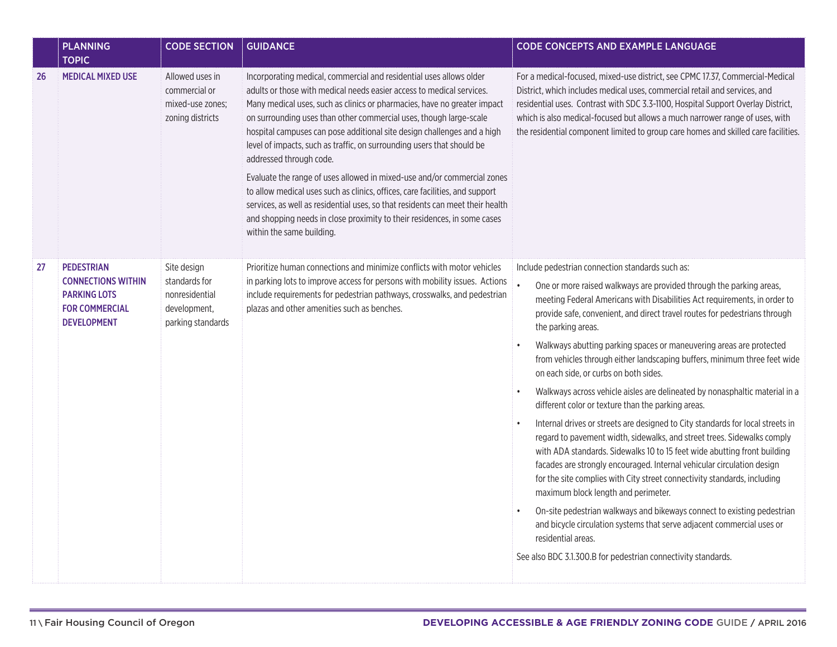|    | <b>PLANNING</b><br><b>TOPIC</b>                                                                               | <b>CODE SECTION</b>                                                                 | <b>GUIDANCE</b>                                                                                                                                                                                                                                                                                                                                                                                                                                                                                                                                                                                                                                                                                                                                                                                                                      | <b>CODE CONCEPTS AND EXAMPLE LANGUAGE</b>                                                                                                                                                                                                                                                                                                                                                                                                                                                                                                                                                                                                                                                                                                                                                                                                                                                                                                                                                                                                                                                                                                                                                                                                                                                                                    |
|----|---------------------------------------------------------------------------------------------------------------|-------------------------------------------------------------------------------------|--------------------------------------------------------------------------------------------------------------------------------------------------------------------------------------------------------------------------------------------------------------------------------------------------------------------------------------------------------------------------------------------------------------------------------------------------------------------------------------------------------------------------------------------------------------------------------------------------------------------------------------------------------------------------------------------------------------------------------------------------------------------------------------------------------------------------------------|------------------------------------------------------------------------------------------------------------------------------------------------------------------------------------------------------------------------------------------------------------------------------------------------------------------------------------------------------------------------------------------------------------------------------------------------------------------------------------------------------------------------------------------------------------------------------------------------------------------------------------------------------------------------------------------------------------------------------------------------------------------------------------------------------------------------------------------------------------------------------------------------------------------------------------------------------------------------------------------------------------------------------------------------------------------------------------------------------------------------------------------------------------------------------------------------------------------------------------------------------------------------------------------------------------------------------|
| 26 | <b>MEDICAL MIXED USE</b>                                                                                      | Allowed uses in<br>commercial or<br>mixed-use zones;<br>zoning districts            | Incorporating medical, commercial and residential uses allows older<br>adults or those with medical needs easier access to medical services.<br>Many medical uses, such as clinics or pharmacies, have no greater impact<br>on surrounding uses than other commercial uses, though large-scale<br>hospital campuses can pose additional site design challenges and a high<br>level of impacts, such as traffic, on surrounding users that should be<br>addressed through code.<br>Evaluate the range of uses allowed in mixed-use and/or commercial zones<br>to allow medical uses such as clinics, offices, care facilities, and support<br>services, as well as residential uses, so that residents can meet their health<br>and shopping needs in close proximity to their residences, in some cases<br>within the same building. | For a medical-focused, mixed-use district, see CPMC 17.37, Commercial-Medical<br>District, which includes medical uses, commercial retail and services, and<br>residential uses. Contrast with SDC 3.3-1100, Hospital Support Overlay District,<br>which is also medical-focused but allows a much narrower range of uses, with<br>the residential component limited to group care homes and skilled care facilities.                                                                                                                                                                                                                                                                                                                                                                                                                                                                                                                                                                                                                                                                                                                                                                                                                                                                                                        |
| 27 | <b>PEDESTRIAN</b><br><b>CONNECTIONS WITHIN</b><br><b>PARKING LOTS</b><br><b>FOR COMMERCIAL</b><br>DEVELOPMENT | Site design<br>standards for<br>nonresidential<br>development,<br>parking standards | Prioritize human connections and minimize conflicts with motor vehicles<br>in parking lots to improve access for persons with mobility issues. Actions<br>include requirements for pedestrian pathways, crosswalks, and pedestrian<br>plazas and other amenities such as benches.                                                                                                                                                                                                                                                                                                                                                                                                                                                                                                                                                    | Include pedestrian connection standards such as:<br>One or more raised walkways are provided through the parking areas,<br>meeting Federal Americans with Disabilities Act requirements, in order to<br>provide safe, convenient, and direct travel routes for pedestrians through<br>the parking areas.<br>Walkways abutting parking spaces or maneuvering areas are protected<br>from vehicles through either landscaping buffers, minimum three feet wide<br>on each side, or curbs on both sides.<br>Walkways across vehicle aisles are delineated by nonasphaltic material in a<br>different color or texture than the parking areas.<br>Internal drives or streets are designed to City standards for local streets in<br>regard to pavement width, sidewalks, and street trees. Sidewalks comply<br>with ADA standards. Sidewalks 10 to 15 feet wide abutting front building<br>facades are strongly encouraged. Internal vehicular circulation design<br>for the site complies with City street connectivity standards, including<br>maximum block length and perimeter.<br>On-site pedestrian walkways and bikeways connect to existing pedestrian<br>and bicycle circulation systems that serve adjacent commercial uses or<br>residential areas.<br>See also BDC 3.1.300.B for pedestrian connectivity standards. |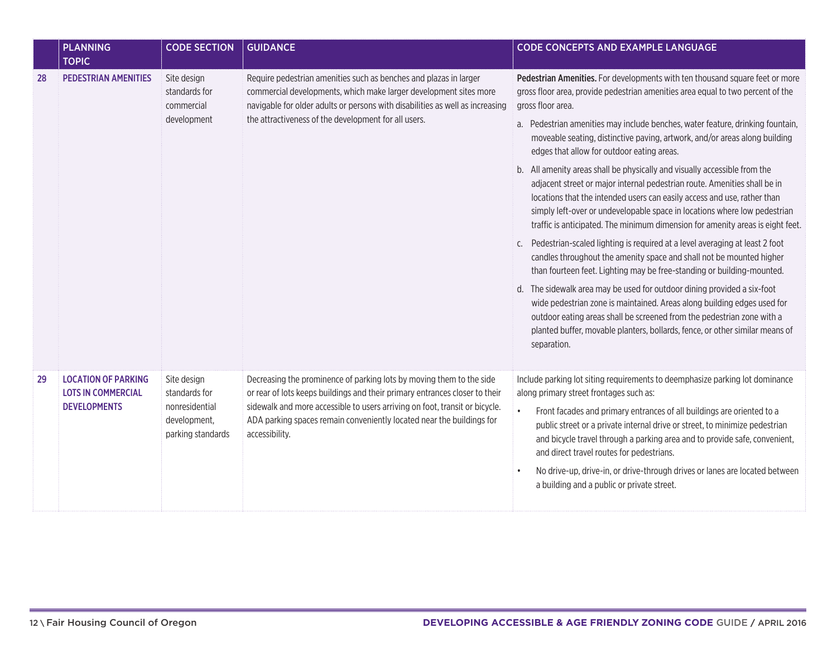|    | <b>PLANNING</b><br><b>TOPIC</b>                                                | <b>CODE SECTION</b>                                                                 | <b>GUIDANCE</b>                                                                                                                                                                                                                                                                                                               | <b>CODE CONCEPTS AND EXAMPLE LANGUAGE</b>                                                                                                                                                                                                                                                                                                                                                                                                                                                                                                                                                                                                                                                                                                                                                                                                                                                                                                                                                                                                                                                                                                                                                                                                                                                                                                                                  |
|----|--------------------------------------------------------------------------------|-------------------------------------------------------------------------------------|-------------------------------------------------------------------------------------------------------------------------------------------------------------------------------------------------------------------------------------------------------------------------------------------------------------------------------|----------------------------------------------------------------------------------------------------------------------------------------------------------------------------------------------------------------------------------------------------------------------------------------------------------------------------------------------------------------------------------------------------------------------------------------------------------------------------------------------------------------------------------------------------------------------------------------------------------------------------------------------------------------------------------------------------------------------------------------------------------------------------------------------------------------------------------------------------------------------------------------------------------------------------------------------------------------------------------------------------------------------------------------------------------------------------------------------------------------------------------------------------------------------------------------------------------------------------------------------------------------------------------------------------------------------------------------------------------------------------|
| 28 | <b>PEDESTRIAN AMENITIES</b>                                                    | Site design<br>standards for<br>commercial<br>development                           | Require pedestrian amenities such as benches and plazas in larger<br>commercial developments, which make larger development sites more<br>navigable for older adults or persons with disabilities as well as increasing<br>the attractiveness of the development for all users.                                               | Pedestrian Amenities. For developments with ten thousand square feet or more<br>gross floor area, provide pedestrian amenities area equal to two percent of the<br>gross floor area.<br>a. Pedestrian amenities may include benches, water feature, drinking fountain,<br>moveable seating, distinctive paving, artwork, and/or areas along building<br>edges that allow for outdoor eating areas.<br>b. All amenity areas shall be physically and visually accessible from the<br>adjacent street or major internal pedestrian route. Amenities shall be in<br>locations that the intended users can easily access and use, rather than<br>simply left-over or undevelopable space in locations where low pedestrian<br>traffic is anticipated. The minimum dimension for amenity areas is eight feet.<br>c. Pedestrian-scaled lighting is required at a level averaging at least 2 foot<br>candles throughout the amenity space and shall not be mounted higher<br>than fourteen feet. Lighting may be free-standing or building-mounted.<br>d. The sidewalk area may be used for outdoor dining provided a six-foot<br>wide pedestrian zone is maintained. Areas along building edges used for<br>outdoor eating areas shall be screened from the pedestrian zone with a<br>planted buffer, movable planters, bollards, fence, or other similar means of<br>separation. |
| 29 | <b>LOCATION OF PARKING</b><br><b>LOTS IN COMMERCIAL</b><br><b>DEVELOPMENTS</b> | Site design<br>standards for<br>nonresidential<br>development,<br>parking standards | Decreasing the prominence of parking lots by moving them to the side<br>or rear of lots keeps buildings and their primary entrances closer to their<br>sidewalk and more accessible to users arriving on foot, transit or bicycle.<br>ADA parking spaces remain conveniently located near the buildings for<br>accessibility. | Include parking lot siting requirements to deemphasize parking lot dominance<br>along primary street frontages such as:<br>Front facades and primary entrances of all buildings are oriented to a<br>public street or a private internal drive or street, to minimize pedestrian<br>and bicycle travel through a parking area and to provide safe, convenient,<br>and direct travel routes for pedestrians.<br>No drive-up, drive-in, or drive-through drives or lanes are located between<br>a building and a public or private street.                                                                                                                                                                                                                                                                                                                                                                                                                                                                                                                                                                                                                                                                                                                                                                                                                                   |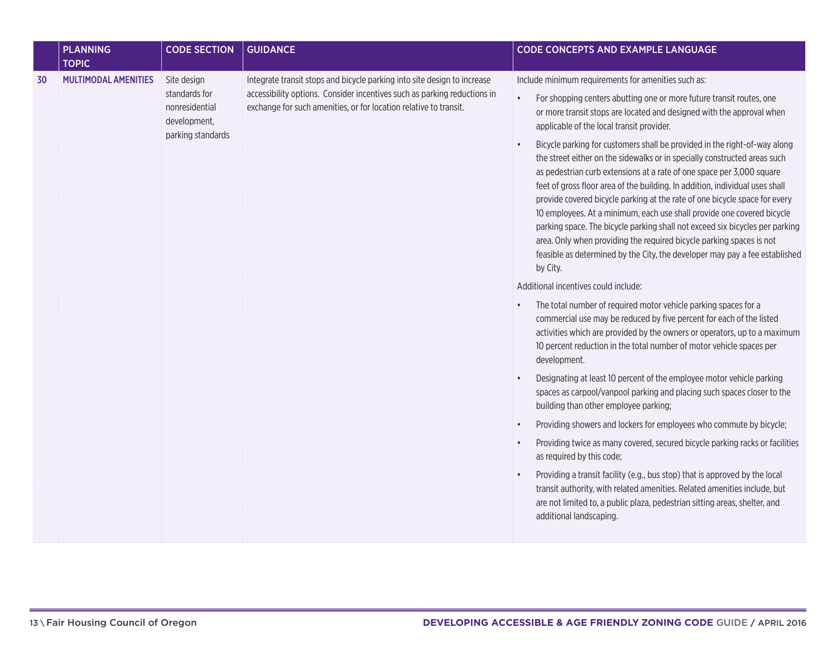|    | <b>PLANNING</b><br><b>TOPIC</b> | <b>CODE SECTION</b>                                                                 | <b>GUIDANCE</b>                                                                                                                                                                                                           | <b>CODE CONCEPTS AND EXAMPLE LANGUAGE</b>                                                                                                                                                                                                                                                                                                                                                                                                                                                                                                                                                                                                                                                                                  |
|----|---------------------------------|-------------------------------------------------------------------------------------|---------------------------------------------------------------------------------------------------------------------------------------------------------------------------------------------------------------------------|----------------------------------------------------------------------------------------------------------------------------------------------------------------------------------------------------------------------------------------------------------------------------------------------------------------------------------------------------------------------------------------------------------------------------------------------------------------------------------------------------------------------------------------------------------------------------------------------------------------------------------------------------------------------------------------------------------------------------|
| 30 | <b>MULTIMODAL AMENITIES</b>     | Site design<br>standards for<br>nonresidential<br>development,<br>parking standards | Integrate transit stops and bicycle parking into site design to increase<br>accessibility options. Consider incentives such as parking reductions in<br>exchange for such amenities, or for location relative to transit. | Include minimum requirements for amenities such as:<br>For shopping centers abutting one or more future transit routes, one<br>$\bullet$<br>or more transit stops are located and designed with the approval when<br>applicable of the local transit provider.                                                                                                                                                                                                                                                                                                                                                                                                                                                             |
|    |                                 |                                                                                     |                                                                                                                                                                                                                           | Bicycle parking for customers shall be provided in the right-of-way along<br>the street either on the sidewalks or in specially constructed areas such<br>as pedestrian curb extensions at a rate of one space per 3,000 square<br>feet of gross floor area of the building. In addition, individual uses shall<br>provide covered bicycle parking at the rate of one bicycle space for every<br>10 employees. At a minimum, each use shall provide one covered bicycle<br>parking space. The bicycle parking shall not exceed six bicycles per parking<br>area. Only when providing the required bicycle parking spaces is not<br>feasible as determined by the City, the developer may pay a fee established<br>by City. |
|    |                                 |                                                                                     |                                                                                                                                                                                                                           | Additional incentives could include:                                                                                                                                                                                                                                                                                                                                                                                                                                                                                                                                                                                                                                                                                       |
|    |                                 |                                                                                     |                                                                                                                                                                                                                           | The total number of required motor vehicle parking spaces for a<br>commercial use may be reduced by five percent for each of the listed<br>activities which are provided by the owners or operators, up to a maximum<br>10 percent reduction in the total number of motor vehicle spaces per<br>development.                                                                                                                                                                                                                                                                                                                                                                                                               |
|    |                                 |                                                                                     |                                                                                                                                                                                                                           | Designating at least 10 percent of the employee motor vehicle parking<br>spaces as carpool/vanpool parking and placing such spaces closer to the<br>building than other employee parking;                                                                                                                                                                                                                                                                                                                                                                                                                                                                                                                                  |
|    |                                 |                                                                                     |                                                                                                                                                                                                                           | Providing showers and lockers for employees who commute by bicycle;                                                                                                                                                                                                                                                                                                                                                                                                                                                                                                                                                                                                                                                        |
|    |                                 |                                                                                     |                                                                                                                                                                                                                           | Providing twice as many covered, secured bicycle parking racks or facilities<br>as required by this code;                                                                                                                                                                                                                                                                                                                                                                                                                                                                                                                                                                                                                  |
|    |                                 |                                                                                     |                                                                                                                                                                                                                           | Providing a transit facility (e.g., bus stop) that is approved by the local<br>transit authority, with related amenities. Related amenities include, but<br>are not limited to, a public plaza, pedestrian sitting areas, shelter, and<br>additional landscaping.                                                                                                                                                                                                                                                                                                                                                                                                                                                          |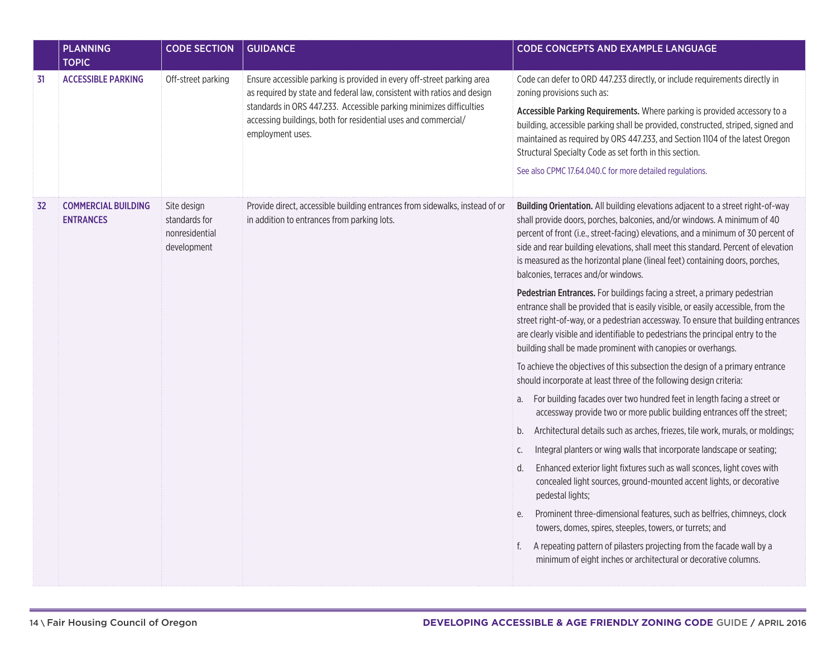|    | <b>PLANNING</b><br><b>TOPIC</b>                | <b>CODE SECTION</b>                                           | <b>GUIDANCE</b>                                                                                                                                           | <b>CODE CONCEPTS AND EXAMPLE LANGUAGE</b>                                                                                                                                                                                                                                                                                                                                                                                                                    |
|----|------------------------------------------------|---------------------------------------------------------------|-----------------------------------------------------------------------------------------------------------------------------------------------------------|--------------------------------------------------------------------------------------------------------------------------------------------------------------------------------------------------------------------------------------------------------------------------------------------------------------------------------------------------------------------------------------------------------------------------------------------------------------|
| 31 | <b>ACCESSIBLE PARKING</b>                      | Off-street parking                                            | Ensure accessible parking is provided in every off-street parking area<br>as required by state and federal law, consistent with ratios and design         | Code can defer to ORD 447.233 directly, or include requirements directly in<br>zoning provisions such as:                                                                                                                                                                                                                                                                                                                                                    |
|    |                                                |                                                               | standards in ORS 447.233. Accessible parking minimizes difficulties<br>accessing buildings, both for residential uses and commercial/<br>employment uses. | Accessible Parking Requirements. Where parking is provided accessory to a<br>building, accessible parking shall be provided, constructed, striped, signed and<br>maintained as required by ORS 447.233, and Section 1104 of the latest Oregon<br>Structural Specialty Code as set forth in this section.                                                                                                                                                     |
|    |                                                |                                                               |                                                                                                                                                           | See also CPMC 17.64.040.C for more detailed regulations.                                                                                                                                                                                                                                                                                                                                                                                                     |
| 32 | <b>COMMERCIAL BUILDING</b><br><b>ENTRANCES</b> | Site design<br>standards for<br>nonresidential<br>development | Provide direct, accessible building entrances from sidewalks, instead of or<br>in addition to entrances from parking lots.                                | Building Orientation. All building elevations adjacent to a street right-of-way<br>shall provide doors, porches, balconies, and/or windows. A minimum of 40<br>percent of front (i.e., street-facing) elevations, and a minimum of 30 percent of<br>side and rear building elevations, shall meet this standard. Percent of elevation<br>is measured as the horizontal plane (lineal feet) containing doors, porches,<br>balconies, terraces and/or windows. |
|    |                                                |                                                               |                                                                                                                                                           | Pedestrian Entrances. For buildings facing a street, a primary pedestrian<br>entrance shall be provided that is easily visible, or easily accessible, from the<br>street right-of-way, or a pedestrian accessway. To ensure that building entrances<br>are clearly visible and identifiable to pedestrians the principal entry to the<br>building shall be made prominent with canopies or overhangs.                                                        |
|    |                                                |                                                               |                                                                                                                                                           | To achieve the objectives of this subsection the design of a primary entrance<br>should incorporate at least three of the following design criteria:                                                                                                                                                                                                                                                                                                         |
|    |                                                |                                                               |                                                                                                                                                           | a. For building facades over two hundred feet in length facing a street or<br>accessway provide two or more public building entrances off the street;                                                                                                                                                                                                                                                                                                        |
|    |                                                |                                                               |                                                                                                                                                           | Architectural details such as arches, friezes, tile work, murals, or moldings;<br>b.                                                                                                                                                                                                                                                                                                                                                                         |
|    |                                                |                                                               |                                                                                                                                                           | Integral planters or wing walls that incorporate landscape or seating;<br>C.                                                                                                                                                                                                                                                                                                                                                                                 |
|    |                                                |                                                               |                                                                                                                                                           | Enhanced exterior light fixtures such as wall sconces, light coves with<br>d.<br>concealed light sources, ground-mounted accent lights, or decorative<br>pedestal lights;                                                                                                                                                                                                                                                                                    |
|    |                                                |                                                               |                                                                                                                                                           | Prominent three-dimensional features, such as belfries, chimneys, clock<br>е.<br>towers, domes, spires, steeples, towers, or turrets; and                                                                                                                                                                                                                                                                                                                    |
|    |                                                |                                                               |                                                                                                                                                           | A repeating pattern of pilasters projecting from the facade wall by a<br>f.<br>minimum of eight inches or architectural or decorative columns.                                                                                                                                                                                                                                                                                                               |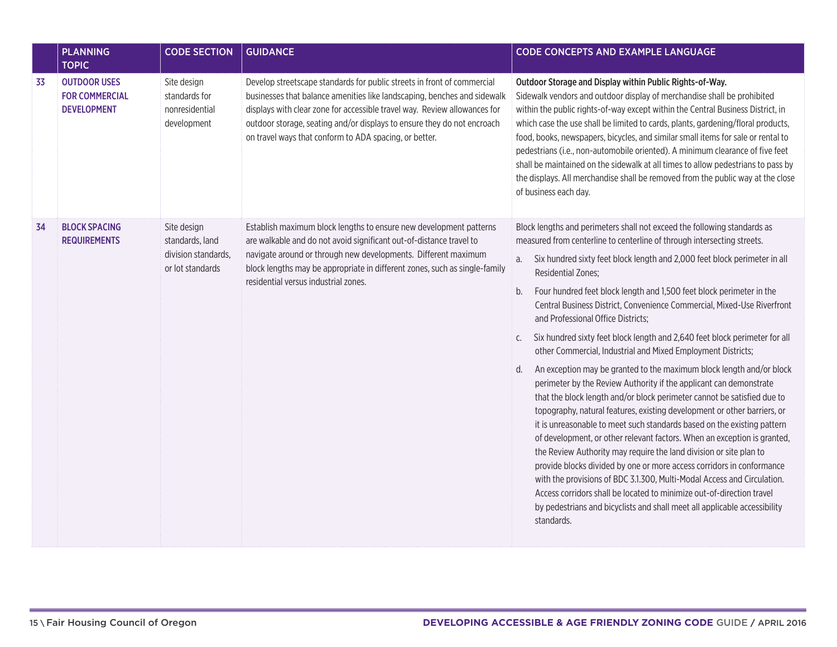|    | <b>PLANNING</b><br><b>TOPIC</b>                                    | <b>CODE SECTION</b>                                                       | <b>GUIDANCE</b>                                                                                                                                                                                                                                                                                                                                                       | <b>CODE CONCEPTS AND EXAMPLE LANGUAGE</b>                                                                                                                                                                                                                                                                                                                                                                                                                                                                                                                                                                                                                                                                                                                                                                                                                                                                                                                                                                                                                                                                                                                                                                                                                                                                                                                                                                                                                                       |
|----|--------------------------------------------------------------------|---------------------------------------------------------------------------|-----------------------------------------------------------------------------------------------------------------------------------------------------------------------------------------------------------------------------------------------------------------------------------------------------------------------------------------------------------------------|---------------------------------------------------------------------------------------------------------------------------------------------------------------------------------------------------------------------------------------------------------------------------------------------------------------------------------------------------------------------------------------------------------------------------------------------------------------------------------------------------------------------------------------------------------------------------------------------------------------------------------------------------------------------------------------------------------------------------------------------------------------------------------------------------------------------------------------------------------------------------------------------------------------------------------------------------------------------------------------------------------------------------------------------------------------------------------------------------------------------------------------------------------------------------------------------------------------------------------------------------------------------------------------------------------------------------------------------------------------------------------------------------------------------------------------------------------------------------------|
| 33 | <b>OUTDOOR USES</b><br><b>FOR COMMERCIAL</b><br><b>DEVELOPMENT</b> | Site design<br>standards for<br>nonresidential<br>development             | Develop streetscape standards for public streets in front of commercial<br>businesses that balance amenities like landscaping, benches and sidewalk<br>displays with clear zone for accessible travel way. Review allowances for<br>outdoor storage, seating and/or displays to ensure they do not encroach<br>on travel ways that conform to ADA spacing, or better. | Outdoor Storage and Display within Public Rights-of-Way.<br>Sidewalk vendors and outdoor display of merchandise shall be prohibited<br>within the public rights-of-way except within the Central Business District, in<br>which case the use shall be limited to cards, plants, gardening/floral products,<br>food, books, newspapers, bicycles, and similar small items for sale or rental to<br>pedestrians (i.e., non-automobile oriented). A minimum clearance of five feet<br>shall be maintained on the sidewalk at all times to allow pedestrians to pass by<br>the displays. All merchandise shall be removed from the public way at the close<br>of business each day.                                                                                                                                                                                                                                                                                                                                                                                                                                                                                                                                                                                                                                                                                                                                                                                                 |
| 34 | <b>BLOCK SPACING</b><br><b>REQUIREMENTS</b>                        | Site design<br>standards, land<br>division standards,<br>or lot standards | Establish maximum block lengths to ensure new development patterns<br>are walkable and do not avoid significant out-of-distance travel to<br>navigate around or through new developments. Different maximum<br>block lengths may be appropriate in different zones, such as single-family<br>residential versus industrial zones.                                     | Block lengths and perimeters shall not exceed the following standards as<br>measured from centerline to centerline of through intersecting streets.<br>Six hundred sixty feet block length and 2,000 feet block perimeter in all<br>a.<br>Residential Zones;<br>b.<br>Four hundred feet block length and 1,500 feet block perimeter in the<br>Central Business District, Convenience Commercial, Mixed-Use Riverfront<br>and Professional Office Districts;<br>Six hundred sixty feet block length and 2,640 feet block perimeter for all<br>C.<br>other Commercial, Industrial and Mixed Employment Districts;<br>An exception may be granted to the maximum block length and/or block<br>d.<br>perimeter by the Review Authority if the applicant can demonstrate<br>that the block length and/or block perimeter cannot be satisfied due to<br>topography, natural features, existing development or other barriers, or<br>it is unreasonable to meet such standards based on the existing pattern<br>of development, or other relevant factors. When an exception is granted,<br>the Review Authority may require the land division or site plan to<br>provide blocks divided by one or more access corridors in conformance<br>with the provisions of BDC 3.1.300, Multi-Modal Access and Circulation.<br>Access corridors shall be located to minimize out-of-direction travel<br>by pedestrians and bicyclists and shall meet all applicable accessibility<br>standards. |